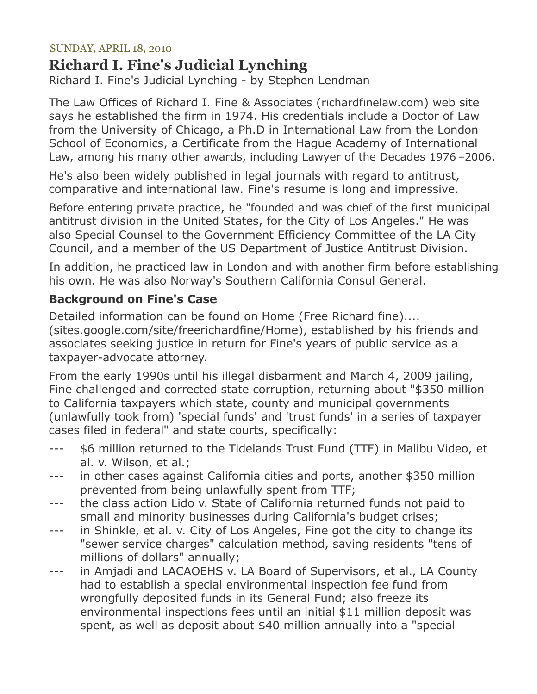### SUNDAY, APRIL 18, 2010

# **Richard I. Fine's Judicial Lynching**

Richard I. Fine's Judicial Lynching - by Stephen Lendman

The Law Offices of Richard I. Fine & Associates (richardfinelaw.com) web site says he established the firm in 1974. His credentials include a Doctor of Law from the University of Chicago, a Ph.D in International Law from the London School of Economics, a Certificate from the Hague Academy of International Law, among his many other awards, including Lawyer of the Decades 1976 –2006.

He's also been widely published in legal journals with regard to antitrust, comparative and international law. Fine's resume is long and impressive.

Before entering private practice, he "founded and was chief of the first municipal antitrust division in the United States, for the City of Los Angeles." He was also Special Counsel to the Government Efficiency Committee of the LA City Council, and a member of the US Department of Justice Antitrust Division.

In addition, he practiced law in London and with another firm before establishing his own. He was also Norway's Southern California Consul General.

## **Background on Fine's Case**

Detailed information can be found on Home (Free Richard fine).... (sites.google.com/site/freerichardfine/Home), established by his friends and associates seeking justice in return for Fine's years of public service as a taxpayer-advocate attorney.

From the early 1990s until his illegal disbarment and March 4, 2009 jailing, Fine challenged and corrected state corruption, returning about "\$350 million to California taxpayers which state, county and municipal governments (unlawfully took from) 'special funds' and 'trust funds' in a series of taxpayer cases filed in federal" and state courts, specifically:

- --- \$6 million returned to the Tidelands Trust Fund (TTF) in Malibu Video, et al. v. Wilson, et al.;
- --- in other cases against California cities and ports, another \$350 million prevented from being unlawfully spent from TTF;
- --- the class action Lido v. State of California returned funds not paid to small and minority businesses during California's budget crises;
- --- in Shinkle, et al. v. City of Los Angeles, Fine got the city to change its "sewer service charges" calculation method, saving residents "tens of millions of dollars" annually;
- --- in Amjadi and LACAOEHS v. LA Board of Supervisors, et al., LA County had to establish a special environmental inspection fee fund from wrongfully deposited funds in its General Fund; also freeze its environmental inspections fees until an initial \$11 million deposit was spent, as well as deposit about \$40 million annually into a "special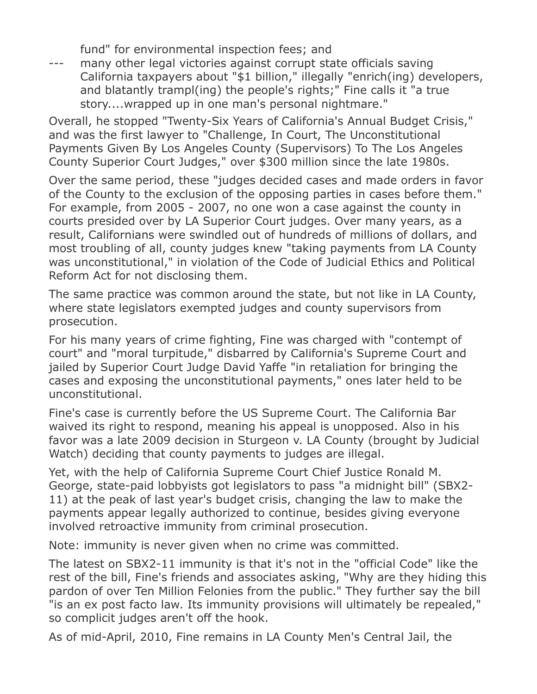fund" for environmental inspection fees; and

--- many other legal victories against corrupt state officials saving California taxpayers about "\$1 billion," illegally "enrich(ing) developers, and blatantly trampl(ing) the people's rights;" Fine calls it "a true story....wrapped up in one man's personal nightmare."

Overall, he stopped "Twenty-Six Years of California's Annual Budget Crisis," and was the first lawyer to "Challenge, In Court, The Unconstitutional Payments Given By Los Angeles County (Supervisors) To The Los Angeles County Superior Court Judges," over \$300 million since the late 1980s.

Over the same period, these "judges decided cases and made orders in favor of the County to the exclusion of the opposing parties in cases before them." For example, from 2005 - 2007, no one won a case against the county in courts presided over by LA Superior Court judges. Over many years, as a result, Californians were swindled out of hundreds of millions of dollars, and most troubling of all, county judges knew "taking payments from LA County was unconstitutional," in violation of the Code of Judicial Ethics and Political Reform Act for not disclosing them.

The same practice was common around the state, but not like in LA County, where state legislators exempted judges and county supervisors from prosecution.

For his many years of crime fighting, Fine was charged with "contempt of court" and "moral turpitude," disbarred by California's Supreme Court and jailed by Superior Court Judge David Yaffe "in retaliation for bringing the cases and exposing the unconstitutional payments," ones later held to be unconstitutional.

Fine's case is currently before the US Supreme Court. The California Bar waived its right to respond, meaning his appeal is unopposed. Also in his favor was a late 2009 decision in Sturgeon v. LA County (brought by Judicial Watch) deciding that county payments to judges are illegal.

Yet, with the help of California Supreme Court Chief Justice Ronald M. George, state-paid lobbyists got legislators to pass "a midnight bill" (SBX2- 11) at the peak of last year's budget crisis, changing the law to make the payments appear legally authorized to continue, besides giving everyone involved retroactive immunity from criminal prosecution.

Note: immunity is never given when no crime was committed.

The latest on SBX2-11 immunity is that it's not in the "official Code" like the rest of the bill, Fine's friends and associates asking, "Why are they hiding this pardon of over Ten Million Felonies from the public." They further say the bill "is an ex post facto law. Its immunity provisions will ultimately be repealed," so complicit judges aren't off the hook.

As of mid-April, 2010, Fine remains in LA County Men's Central Jail, the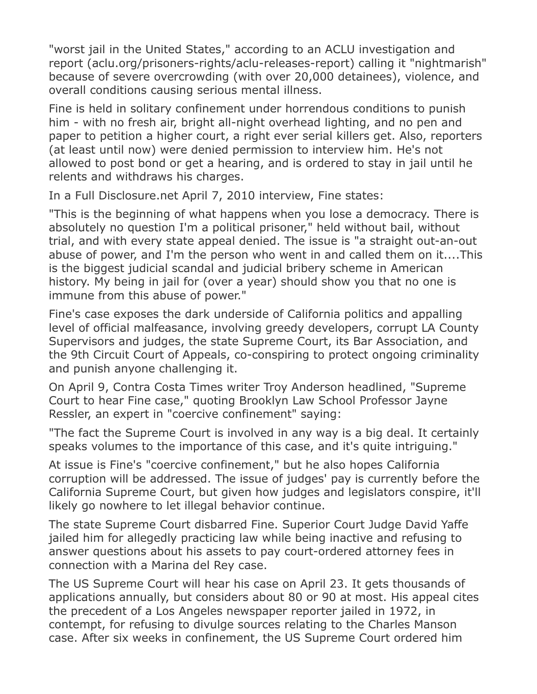"worst jail in the United States," according to an ACLU investigation and report (aclu.org/prisoners-rights/aclu-releases-report) calling it "nightmarish" because of severe overcrowding (with over 20,000 detainees), violence, and overall conditions causing serious mental illness.

Fine is held in solitary confinement under horrendous conditions to punish him - with no fresh air, bright all-night overhead lighting, and no pen and paper to petition a higher court, a right ever serial killers get. Also, reporters (at least until now) were denied permission to interview him. He's not allowed to post bond or get a hearing, and is ordered to stay in jail until he relents and withdraws his charges.

In a Full Disclosure.net April 7, 2010 interview, Fine states:

"This is the beginning of what happens when you lose a democracy. There is absolutely no question I'm a political prisoner," held without bail, without trial, and with every state appeal denied. The issue is "a straight out-an-out abuse of power, and I'm the person who went in and called them on it....This is the biggest judicial scandal and judicial bribery scheme in American history. My being in jail for (over a year) should show you that no one is immune from this abuse of power."

Fine's case exposes the dark underside of California politics and appalling level of official malfeasance, involving greedy developers, corrupt LA County Supervisors and judges, the state Supreme Court, its Bar Association, and the 9th Circuit Court of Appeals, co-conspiring to protect ongoing criminality and punish anyone challenging it.

On April 9, Contra Costa Times writer Troy Anderson headlined, "Supreme Court to hear Fine case," quoting Brooklyn Law School Professor Jayne Ressler, an expert in "coercive confinement" saying:

"The fact the Supreme Court is involved in any way is a big deal. It certainly speaks volumes to the importance of this case, and it's quite intriguing."

At issue is Fine's "coercive confinement," but he also hopes California corruption will be addressed. The issue of judges' pay is currently before the California Supreme Court, but given how judges and legislators conspire, it'll likely go nowhere to let illegal behavior continue.

The state Supreme Court disbarred Fine. Superior Court Judge David Yaffe jailed him for allegedly practicing law while being inactive and refusing to answer questions about his assets to pay court-ordered attorney fees in connection with a Marina del Rey case.

The US Supreme Court will hear his case on April 23. It gets thousands of applications annually, but considers about 80 or 90 at most. His appeal cites the precedent of a Los Angeles newspaper reporter jailed in 1972, in contempt, for refusing to divulge sources relating to the Charles Manson case. After six weeks in confinement, the US Supreme Court ordered him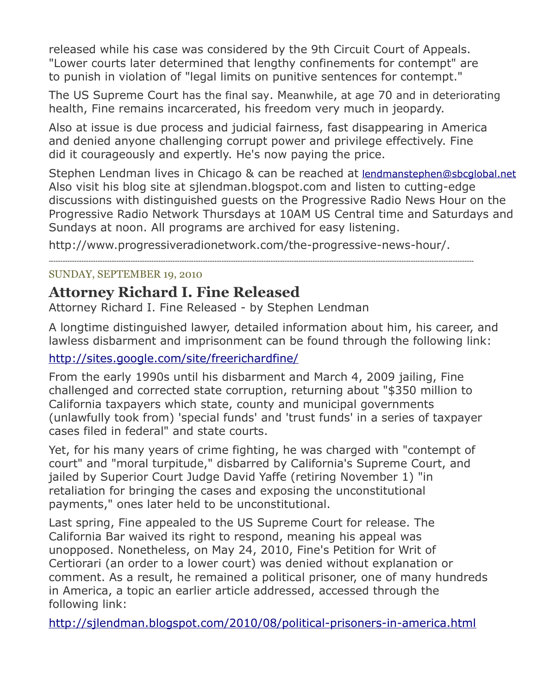released while his case was considered by the 9th Circuit Court of Appeals. "Lower courts later determined that lengthy confinements for contempt" are to punish in violation of "legal limits on punitive sentences for contempt."

The US Supreme Court has the final say. Meanwhile, at age 70 and in deteriorating health, Fine remains incarcerated, his freedom very much in jeopardy.

Also at issue is due process and judicial fairness, fast disappearing in America and denied anyone challenging corrupt power and privilege effectively. Fine did it courageously and expertly. He's now paying the price.

Stephen Lendman lives in Chicago & can be reached at [lendmanstephen@sbcglobal.net](mailto:lendmanstephen@sbcglobal.net) Also visit his blog site at sjlendman.blogspot.com and listen to cutting-edge discussions with distinguished guests on the Progressive Radio News Hour on the Progressive Radio Network Thursdays at 10AM US Central time and Saturdays and Sundays at noon. All programs are archived for easy listening.

http://www.progressiveradionetwork.com/the-progressive-news-hour/.

--------------------------------------------------------------------------------------------------------------------------------------------------------------------------------------

### SUNDAY, SEPTEMBER 19, 2010

# **Attorney Richard I. Fine Released**

Attorney Richard I. Fine Released - by Stephen Lendman

A longtime distinguished lawyer, detailed information about him, his career, and lawless disbarment and imprisonment can be found through the following link:

### <http://sites.google.com/site/freerichardfine/>

From the early 1990s until his disbarment and March 4, 2009 jailing, Fine challenged and corrected state corruption, returning about "\$350 million to California taxpayers which state, county and municipal governments (unlawfully took from) 'special funds' and 'trust funds' in a series of taxpayer cases filed in federal" and state courts.

Yet, for his many years of crime fighting, he was charged with "contempt of court" and "moral turpitude," disbarred by California's Supreme Court, and jailed by Superior Court Judge David Yaffe (retiring November 1) "in retaliation for bringing the cases and exposing the unconstitutional payments," ones later held to be unconstitutional.

Last spring, Fine appealed to the US Supreme Court for release. The California Bar waived its right to respond, meaning his appeal was unopposed. Nonetheless, on May 24, 2010, Fine's Petition for Writ of Certiorari (an order to a lower court) was denied without explanation or comment. As a result, he remained a political prisoner, one of many hundreds in America, a topic an earlier article addressed, accessed through the following link:

<http://sjlendman.blogspot.com/2010/08/political-prisoners-in-america.html>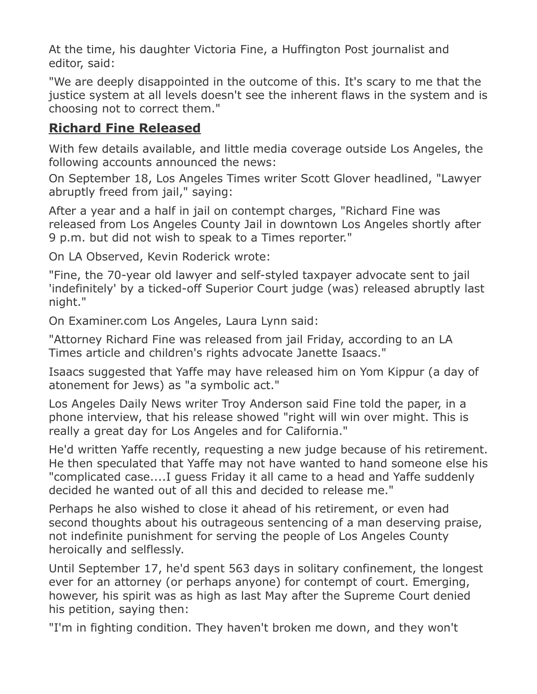At the time, his daughter Victoria Fine, a Huffington Post journalist and editor, said:

"We are deeply disappointed in the outcome of this. It's scary to me that the justice system at all levels doesn't see the inherent flaws in the system and is choosing not to correct them."

## **Richard Fine Released**

With few details available, and little media coverage outside Los Angeles, the following accounts announced the news:

On September 18, Los Angeles Times writer Scott Glover headlined, "Lawyer abruptly freed from jail," saying:

After a year and a half in jail on contempt charges, "Richard Fine was released from Los Angeles County Jail in downtown Los Angeles shortly after 9 p.m. but did not wish to speak to a Times reporter."

On LA Observed, Kevin Roderick wrote:

"Fine, the 70-year old lawyer and self-styled taxpayer advocate sent to jail 'indefinitely' by a ticked-off Superior Court judge (was) released abruptly last night."

On Examiner.com Los Angeles, Laura Lynn said:

"Attorney Richard Fine was released from jail Friday, according to an LA Times article and children's rights advocate Janette Isaacs."

Isaacs suggested that Yaffe may have released him on Yom Kippur (a day of atonement for Jews) as "a symbolic act."

Los Angeles Daily News writer Troy Anderson said Fine told the paper, in a phone interview, that his release showed "right will win over might. This is really a great day for Los Angeles and for California."

He'd written Yaffe recently, requesting a new judge because of his retirement. He then speculated that Yaffe may not have wanted to hand someone else his "complicated case....I guess Friday it all came to a head and Yaffe suddenly decided he wanted out of all this and decided to release me."

Perhaps he also wished to close it ahead of his retirement, or even had second thoughts about his outrageous sentencing of a man deserving praise, not indefinite punishment for serving the people of Los Angeles County heroically and selflessly.

Until September 17, he'd spent 563 days in solitary confinement, the longest ever for an attorney (or perhaps anyone) for contempt of court. Emerging, however, his spirit was as high as last May after the Supreme Court denied his petition, saying then:

"I'm in fighting condition. They haven't broken me down, and they won't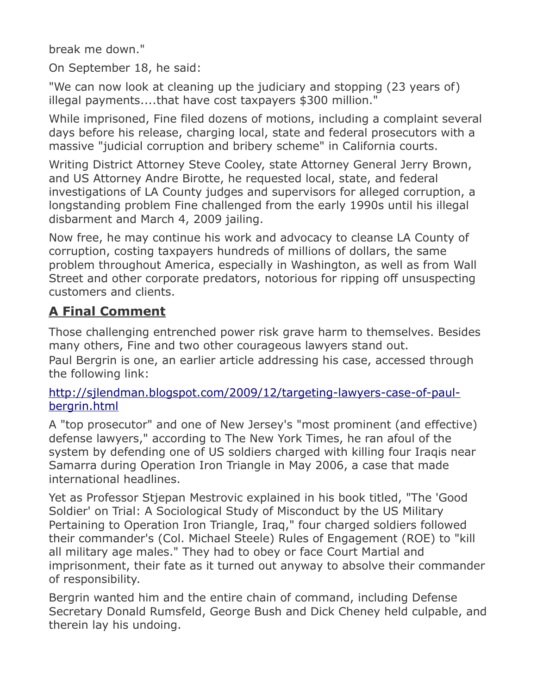break me down."

On September 18, he said:

"We can now look at cleaning up the judiciary and stopping (23 years of) illegal payments....that have cost taxpayers \$300 million."

While imprisoned, Fine filed dozens of motions, including a complaint several days before his release, charging local, state and federal prosecutors with a massive "judicial corruption and bribery scheme" in California courts.

Writing District Attorney Steve Cooley, state Attorney General Jerry Brown, and US Attorney Andre Birotte, he requested local, state, and federal investigations of LA County judges and supervisors for alleged corruption, a longstanding problem Fine challenged from the early 1990s until his illegal disbarment and March 4, 2009 jailing.

Now free, he may continue his work and advocacy to cleanse LA County of corruption, costing taxpayers hundreds of millions of dollars, the same problem throughout America, especially in Washington, as well as from Wall Street and other corporate predators, notorious for ripping off unsuspecting customers and clients.

# **A Final Comment**

Those challenging entrenched power risk grave harm to themselves. Besides many others, Fine and two other courageous lawyers stand out. Paul Bergrin is one, an earlier article addressing his case, accessed through the following link:

## [http://sjlendman.blogspot.com/2009/12/targeting-lawyers-case-of-paul](http://sjlendman.blogspot.com/2009/12/targeting-lawyers-case-of-paul-bergrin.html)[bergrin.html](http://sjlendman.blogspot.com/2009/12/targeting-lawyers-case-of-paul-bergrin.html)

A "top prosecutor" and one of New Jersey's "most prominent (and effective) defense lawyers," according to The New York Times, he ran afoul of the system by defending one of US soldiers charged with killing four Iraqis near Samarra during Operation Iron Triangle in May 2006, a case that made international headlines.

Yet as Professor Stjepan Mestrovic explained in his book titled, "The 'Good Soldier' on Trial: A Sociological Study of Misconduct by the US Military Pertaining to Operation Iron Triangle, Iraq," four charged soldiers followed their commander's (Col. Michael Steele) Rules of Engagement (ROE) to "kill all military age males." They had to obey or face Court Martial and imprisonment, their fate as it turned out anyway to absolve their commander of responsibility.

Bergrin wanted him and the entire chain of command, including Defense Secretary Donald Rumsfeld, George Bush and Dick Cheney held culpable, and therein lay his undoing.